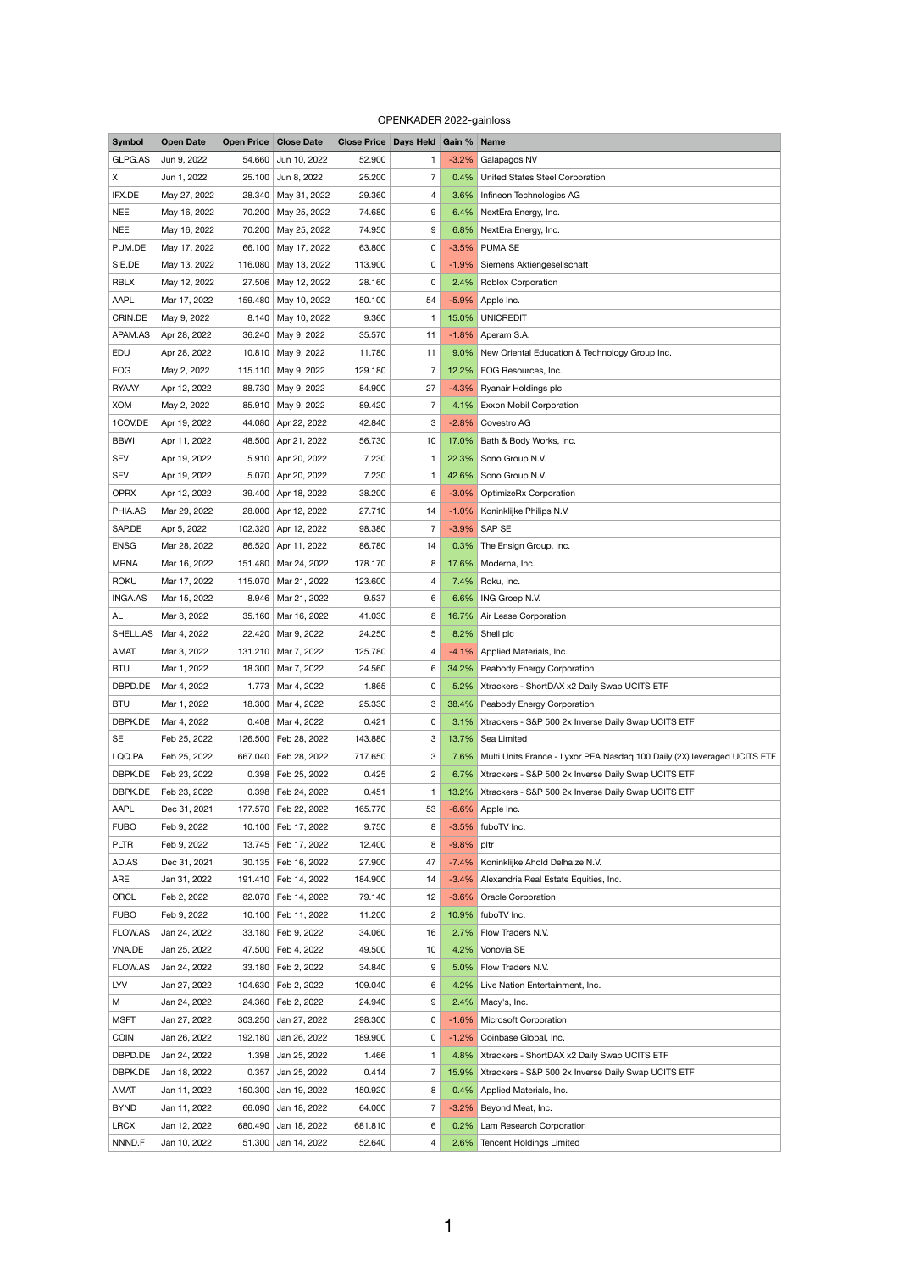## OPENKADER 2022-gainloss

| <b>Symbol</b>  | <b>Open Date</b> |        | <b>Open Price Close Date</b> | Close Price   Days Held   Gain %   Name |                |         |                                                                               |
|----------------|------------------|--------|------------------------------|-----------------------------------------|----------------|---------|-------------------------------------------------------------------------------|
| GLPG.AS        | Jun 9, 2022      | 54.660 | Jun 10, 2022                 | 52.900                                  | $\mathbf{1}$   |         | -3.2% Galapagos NV                                                            |
| $\mathsf{X}$   | Jun 1, 2022      |        | 25.100 Jun 8, 2022           | 25.200                                  | 7              |         | 0.4% United States Steel Corporation                                          |
| IFX.DE         | May 27, 2022     |        | 28.340   May 31, 2022        | 29.360                                  | 4              |         | 3.6% Infineon Technologies AG                                                 |
| <b>NEE</b>     | May 16, 2022     |        | 70.200 May 25, 2022          | 74.680                                  | 9              |         | 6.4% NextEra Energy, Inc.                                                     |
| <b>NEE</b>     | May 16, 2022     |        | 70.200 May 25, 2022          | 74.950                                  | 9              |         | 6.8% NextEra Energy, Inc.                                                     |
| PUM.DE         | May 17, 2022     |        | 66.100 May 17, 2022          | 63.800                                  | 0              |         | -3.5% PUMA SE                                                                 |
| SIE.DE         | May 13, 2022     |        | 116.080 May 13, 2022         | 113.900                                 | 0              |         | -1.9% Siemens Aktiengesellschaft                                              |
| <b>RBLX</b>    | May 12, 2022     |        | 27.506 May 12, 2022          | 28.160                                  | 0              |         | 2.4% Roblox Corporation                                                       |
| AAPL           | Mar 17, 2022     |        | 159.480   May 10, 2022       | 150.100                                 | 54             |         | -5.9% Apple Inc.                                                              |
| CRIN.DE        | May 9, 2022      |        | 8.140 May 10, 2022           | 9.360                                   | $\mathbf{1}$   |         | 15.0% UNICREDIT                                                               |
| APAM.AS        | Apr 28, 2022     |        | 36.240   May 9, 2022         | 35.570                                  | 11             |         | $-1.8\%$ Aperam S.A.                                                          |
| EDU            | Apr 28, 2022     |        | 10.810 May 9, 2022           | 11.780                                  | 11             |         | 9.0% New Oriental Education & Technology Group Inc.                           |
| EOG            | May 2, 2022      |        | 115.110 May 9, 2022          | 129.180                                 | 7              |         | 12.2% EOG Resources, Inc.                                                     |
| <b>RYAAY</b>   | Apr 12, 2022     |        | 88.730 May 9, 2022           | 84.900                                  | 27             |         | -4.3% Ryanair Holdings plc                                                    |
| <b>XOM</b>     | May 2, 2022      |        | 85.910 May 9, 2022           | 89.420                                  | $\overline{7}$ |         | 4.1% Exxon Mobil Corporation                                                  |
| 1COV.DE        | Apr 19, 2022     |        | 44.080 Apr 22, 2022          | 42.840                                  | 3              |         | -2.8% Covestro AG                                                             |
| <b>BBWI</b>    | Apr 11, 2022     |        | 48.500 Apr 21, 2022          | 56.730                                  | 10             | 17.0%   | Bath & Body Works, Inc.                                                       |
| <b>SEV</b>     | Apr 19, 2022     |        | 5.910 Apr 20, 2022           | 7.230                                   | $\mathbf{1}$   |         | 22.3% Sono Group N.V.                                                         |
| <b>SEV</b>     | Apr 19, 2022     |        | 5.070 Apr 20, 2022           | 7.230                                   | -1.            |         | 42.6% Sono Group N.V.                                                         |
| <b>OPRX</b>    | Apr 12, 2022     |        | 39.400 Apr 18, 2022          | 38.200                                  | 6              |         | -3.0% OptimizeRx Corporation                                                  |
| PHIA.AS        | Mar 29, 2022     |        | 28.000 Apr 12, 2022          | 27.710                                  | 14             |         | -1.0% Koninklijke Philips N.V.                                                |
| SAP.DE         | Apr 5, 2022      |        | 102.320 Apr 12, 2022         | 98.380                                  |                |         | -3.9% SAP SE                                                                  |
| <b>ENSG</b>    | Mar 28, 2022     | 86.520 | Apr 11, 2022                 | 86.780                                  | 14             |         | 0.3% The Ensign Group, Inc.                                                   |
| <b>MRNA</b>    | Mar 16, 2022     |        | 151.480   Mar 24, 2022       | 178.170                                 | 8              |         | 17.6% Moderna, Inc.                                                           |
| <b>ROKU</b>    | Mar 17, 2022     |        | 115.070   Mar 21, 2022       | 123.600                                 | 4              |         | 7.4% Roku, Inc.                                                               |
| <b>INGA.AS</b> | Mar 15, 2022     |        | 8.946   Mar 21, 2022         | 9.537                                   | 6              |         | 6.6% ING Groep N.V.                                                           |
| AL             | Mar 8, 2022      |        | 35.160 Mar 16, 2022          | 41.030                                  | 8              |         | 16.7% Air Lease Corporation                                                   |
| SHELL.AS       | Mar 4, 2022      |        | 22.420   Mar 9, 2022         | 24.250                                  | 5              |         | 8.2% Shell plc                                                                |
| <b>AMAT</b>    | Mar 3, 2022      |        | 131.210   Mar 7, 2022        | 125.780                                 | 4              | $-4.1%$ | Applied Materials, Inc.                                                       |
| <b>BTU</b>     | Mar 1, 2022      |        | 18.300   Mar 7, 2022         | 24.560                                  | 6              |         | 34.2% Peabody Energy Corporation                                              |
| DBPD.DE        | Mar 4, 2022      |        | 1.773 Mar 4, 2022            | 1.865                                   | 0              |         | 5.2% Xtrackers - ShortDAX x2 Daily Swap UCITS ETF                             |
| <b>BTU</b>     | Mar 1, 2022      | 18.300 | Mar 4, 2022                  | 25.330                                  | 3              |         | 38.4% Peabody Energy Corporation                                              |
| DBPK.DE        | Mar 4, 2022      |        | $0.408$ Mar 4, 2022          | 0.421                                   | 0              |         | 3.1% Xtrackers - S&P 500 2x Inverse Daily Swap UCITS ETF                      |
| <b>SE</b>      | Feb 25, 2022     |        | 126.500   Feb 28, 2022       | 143.880                                 | 3              |         | 13.7% Sea Limited                                                             |
| LQQ.PA         | Feb 25, 2022     |        | 667.040   Feb 28, 2022       | 717.650                                 | 3              |         | 7.6% Multi Units France - Lyxor PEA Nasdaq 100 Daily (2X) leveraged UCITS ETF |

| DBPK.DE     | Feb 23, 2022 |         | 0.398   Feb 24, 2022  | 0.451   | 1              |            | 13.2% Xtrackers - S&P 500 2x Inverse Daily Swap UCITS ETF |
|-------------|--------------|---------|-----------------------|---------|----------------|------------|-----------------------------------------------------------|
| <b>AAPL</b> | Dec 31, 2021 | 177.570 | Feb 22, 2022          | 165.770 | 53             |            | -6.6% Apple Inc.                                          |
| <b>FUBO</b> | Feb 9, 2022  |         | 10.100 Feb 17, 2022   | 9.750   | 8              |            | -3.5% fuboTV Inc.                                         |
| <b>PLTR</b> | Feb 9, 2022  | 13.745  | Feb 17, 2022          | 12.400  | 8              | -9.8% pltr |                                                           |
| AD.AS       | Dec 31, 2021 |         | 30.135   Feb 16, 2022 | 27.900  | 47             |            | -7.4% Koninklijke Ahold Delhaize N.V.                     |
| ARE         | Jan 31, 2022 |         | 191.410 Feb 14, 2022  | 184.900 | 14             |            | -3.4% Alexandria Real Estate Equities, Inc.               |
| ORCL        | Feb 2, 2022  |         | 82.070   Feb 14, 2022 | 79.140  | 12             |            | -3.6% Oracle Corporation                                  |
| <b>FUBO</b> | Feb 9, 2022  |         | 10.100   Feb 11, 2022 | 11.200  | $\overline{2}$ |            | 10.9% fuboTV Inc.                                         |
| FLOW.AS     | Jan 24, 2022 |         | 33.180   Feb 9, 2022  | 34.060  | 16             |            | 2.7% Flow Traders N.V.                                    |
| VNA.DE      | Jan 25, 2022 |         | 47.500   Feb 4, 2022  | 49.500  | 10             |            | 4.2% Vonovia SE                                           |
| FLOW.AS     | Jan 24, 2022 |         | 33.180   Feb 2, 2022  | 34.840  | 9              |            | 5.0% Flow Traders N.V.                                    |
| LYV         | Jan 27, 2022 |         | 104.630 Feb 2, 2022   | 109.040 | 6              |            | 4.2% Live Nation Entertainment, Inc.                      |
| M           | Jan 24, 2022 |         | 24.360 Feb 2, 2022    | 24.940  | 9              |            | 2.4% Macy's, Inc.                                         |
| <b>MSFT</b> | Jan 27, 2022 | 303.250 | Jan 27, 2022          | 298.300 | 0              |            | -1.6% Microsoft Corporation                               |
| <b>COIN</b> | Jan 26, 2022 | 192.180 | Jan 26, 2022          | 189.900 | 0              |            | -1.2% Coinbase Global, Inc.                               |
| DBPD.DE     | Jan 24, 2022 | 1.398   | Jan 25, 2022          | 1.466   | $\mathbf{1}$   |            | 4.8% Xtrackers - ShortDAX x2 Daily Swap UCITS ETF         |
| DBPK.DE     | Jan 18, 2022 | 0.357   | Jan 25, 2022          | 0.414   | $\overline{7}$ |            | 15.9% Xtrackers - S&P 500 2x Inverse Daily Swap UCITS ETF |
| <b>AMAT</b> | Jan 11, 2022 | 150.300 | Jan 19, 2022          | 150.920 | 8              |            | 0.4% Applied Materials, Inc.                              |
| <b>BYND</b> | Jan 11, 2022 | 66.090  | Jan 18, 2022          | 64.000  | $\overline{7}$ | $-3.2\%$   | Beyond Meat, Inc.                                         |
| <b>LRCX</b> | Jan 12, 2022 | 680.490 | Jan 18, 2022          | 681.810 | 6              |            | 0.2% Lam Research Corporation                             |
| NNND.F      | Jan 10, 2022 |         | 51.300 Jan 14, 2022   | 52.640  | 4              |            | 2.6% Tencent Holdings Limited                             |

DBPK.DE Feb 23, 2022 0.398 Feb 25, 2022 0.425 2 6.7% Xtrackers - S&P 500 2x Inverse Daily Swap UCITS ETF